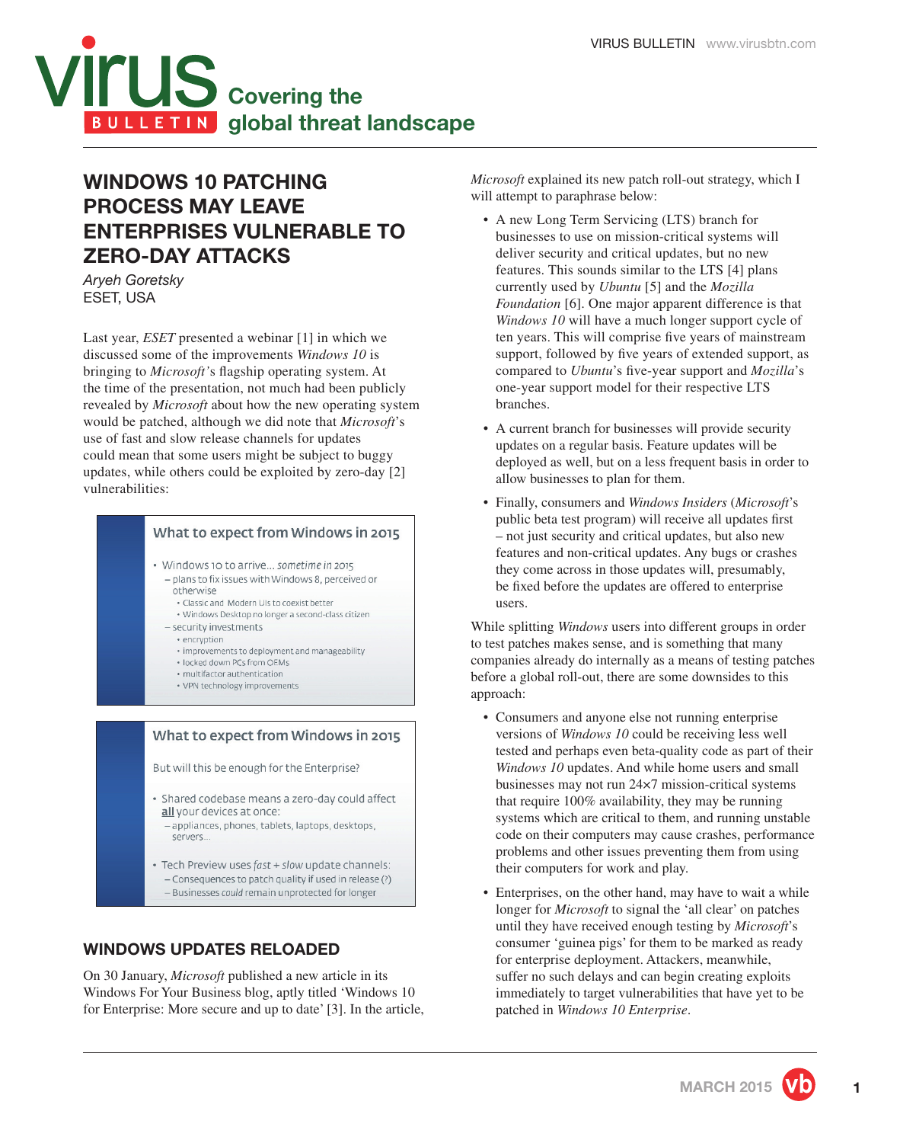

# **WINDOWS 10 PATCHING PROCESS MAY LEAVE ENTERPRISES VULNERABLE TO ZERO-DAY ATTACKS**

*Aryeh Goretsky* ESET, USA

Last year, *ESET* presented a webinar [1] in which we discussed some of the improvements *Windows 10* is bringing to *Microsoft's* flagship operating system. At the time of the presentation, not much had been publicly revealed by *Microsoft* about how the new operating system would be patched, although we did note that *Microsoft*'s use of fast and slow release channels for updates could mean that some users might be subject to buggy updates, while others could be exploited by zero-day [2] vulnerabilities:

### What to expect from Windows in 2015

- · Windows 10 to arrive... sometime in 2015 - plans to fix issues with Windows 8, perceived or otherwise
	- · Classic and Modern UIs to coexist better
	- · Windows Desktop no longer a second-class citizen
	- security investments
		- · encryption
		- improvements to deployment and manageability
		- locked down PCs from OEMs
		- · multifactor authentication · VPN technology improvements

#### What to expect from Windows in 2015

But will this be enough for the Enterprise?

- · Shared codebase means a zero-day could affect all your devices at once:
	- appliances, phones, tablets, laptops, desktops, servers.
- · Tech Preview uses fast + slow update channels: - Consequences to patch quality if used in release (?) - Businesses could remain unprotected for longer

# **WINDOWS UPDATES RELOADED**

On 30 January, *Microsoft* published a new article in its Windows For Your Business blog, aptly titled 'Windows 10 for Enterprise: More secure and up to date' [3]. In the article, *Microsoft* explained its new patch roll-out strategy, which I will attempt to paraphrase below:

- A new Long Term Servicing (LTS) branch for businesses to use on mission-critical systems will deliver security and critical updates, but no new features. This sounds similar to the LTS [4] plans currently used by *Ubuntu* [5] and the *Mozilla Foundation* [6]. One major apparent difference is that *Windows 10* will have a much longer support cycle of ten years. This will comprise five years of mainstream support, followed by five years of extended support, as compared to *Ubuntu*'s five-year support and *Mozilla*'s one-year support model for their respective LTS branches.
- A current branch for businesses will provide security updates on a regular basis. Feature updates will be deployed as well, but on a less frequent basis in order to allow businesses to plan for them.
- Finally, consumers and *Windows Insiders* (*Microsoft*'s public beta test program) will receive all updates first – not just security and critical updates, but also new features and non-critical updates. Any bugs or crashes they come across in those updates will, presumably, be fixed before the updates are offered to enterprise users.

While splitting *Windows* users into different groups in order to test patches makes sense, and is something that many companies already do internally as a means of testing patches before a global roll-out, there are some downsides to this approach:

- Consumers and anyone else not running enterprise versions of *Windows 10* could be receiving less well tested and perhaps even beta-quality code as part of their *Windows 10* updates. And while home users and small businesses may not run 24×7 mission-critical systems that require 100% availability, they may be running systems which are critical to them, and running unstable code on their computers may cause crashes, performance problems and other issues preventing them from using their computers for work and play.
- Enterprises, on the other hand, may have to wait a while longer for *Microsoft* to signal the 'all clear' on patches until they have received enough testing by *Microsoft*'s consumer 'guinea pigs' for them to be marked as ready for enterprise deployment. Attackers, meanwhile, suffer no such delays and can begin creating exploits immediately to target vulnerabilities that have yet to be patched in *Windows 10 Enterprise*.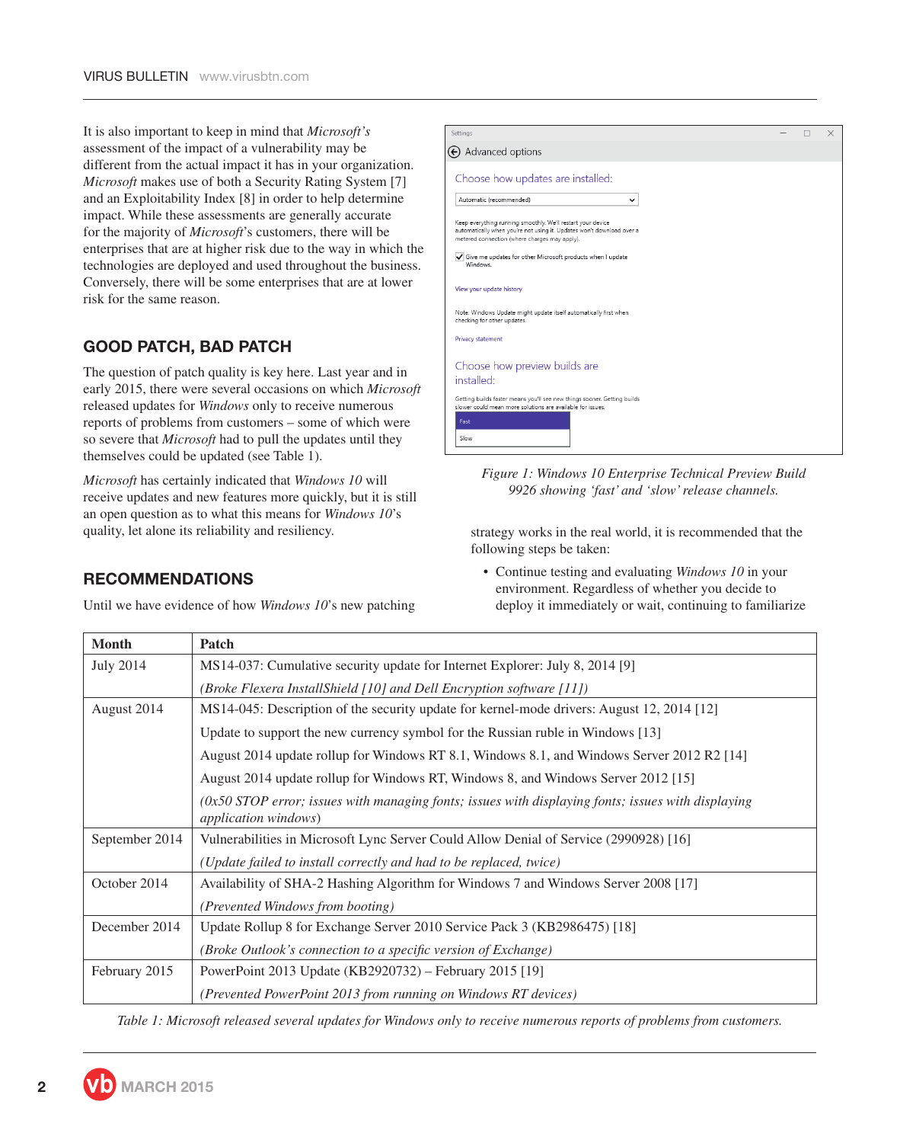It is also important to keep in mind that *Microsoft's*  assessment of the impact of a vulnerability may be different from the actual impact it has in your organization. *Microsoft* makes use of both a Security Rating System [7] and an Exploitability Index [8] in order to help determine impact. While these assessments are generally accurate for the majority of *Microsoft*'s customers, there will be enterprises that are at higher risk due to the way in which the technologies are deployed and used throughout the business. Conversely, there will be some enterprises that are at lower risk for the same reason.

# **GOOD PATCH, BAD PATCH**

The question of patch quality is key here. Last year and in early 2015, there were several occasions on which *Microsoft* released updates for *Windows* only to receive numerous reports of problems from customers – some of which were so severe that *Microsoft* had to pull the updates until they themselves could be updated (see Table 1).

*Microsoft* has certainly indicated that *Windows 10* will receive updates and new features more quickly, but it is still an open question as to what this means for *Windows 10*'s quality, let alone its reliability and resiliency.

| Settings                                                                                                                                                                              |  |  |
|---------------------------------------------------------------------------------------------------------------------------------------------------------------------------------------|--|--|
| $\Theta$ Advanced options                                                                                                                                                             |  |  |
| Choose how updates are installed:                                                                                                                                                     |  |  |
| Automatic (recommended)<br>◡                                                                                                                                                          |  |  |
| Keep everything running smoothly. We'll restart your device<br>automatically when you're not using it. Updates won't download over a<br>metered connection (where charges may apply). |  |  |
| Give me updates for other Microsoft products when I update<br>Windows.                                                                                                                |  |  |
| View your update history                                                                                                                                                              |  |  |
| Note: Windows Update might update itself automatically first when<br>checking for other updates.                                                                                      |  |  |
| Privacy statement                                                                                                                                                                     |  |  |
| Choose how preview builds are<br>installed:                                                                                                                                           |  |  |
| Getting builds faster means you'll see new things sooner. Getting builds<br>slower could mean more solutions are available for issues.                                                |  |  |
| Fast                                                                                                                                                                                  |  |  |
| Slow                                                                                                                                                                                  |  |  |



strategy works in the real world, it is recommended that the following steps be taken:

• Continue testing and evaluating *Windows 10* in your environment. Regardless of whether you decide to deploy it immediately or wait, continuing to familiarize

| <b>Month</b>   | Patch                                                                                                                                |  |
|----------------|--------------------------------------------------------------------------------------------------------------------------------------|--|
| July 2014      | MS14-037: Cumulative security update for Internet Explorer: July 8, 2014 [9]                                                         |  |
|                | (Broke Flexera InstallShield [10] and Dell Encryption software $[11]$ )                                                              |  |
| August 2014    | MS14-045: Description of the security update for kernel-mode drivers: August 12, 2014 [12]                                           |  |
|                | Update to support the new currency symbol for the Russian ruble in Windows [13]                                                      |  |
|                | August 2014 update rollup for Windows RT 8.1, Windows 8.1, and Windows Server 2012 R2 [14]                                           |  |
|                | August 2014 update rollup for Windows RT, Windows 8, and Windows Server 2012 [15]                                                    |  |
|                | $(0x50$ STOP error; issues with managing fonts; issues with displaying fonts; issues with displaying<br><i>application windows</i> ) |  |
| September 2014 | Vulnerabilities in Microsoft Lync Server Could Allow Denial of Service (2990928) [16]                                                |  |
|                | (Update failed to install correctly and had to be replaced, twice)                                                                   |  |
| October 2014   | Availability of SHA-2 Hashing Algorithm for Windows 7 and Windows Server 2008 [17]                                                   |  |
|                | <i>(Prevented Windows from booting)</i>                                                                                              |  |
| December 2014  | Update Rollup 8 for Exchange Server 2010 Service Pack 3 (KB2986475) [18]                                                             |  |
|                | (Broke Outlook's connection to a specific version of Exchange)                                                                       |  |
| February 2015  | PowerPoint 2013 Update (KB2920732) – February 2015 [19]                                                                              |  |
|                | (Prevented PowerPoint 2013 from running on Windows RT devices)                                                                       |  |

*Table 1: Microsoft released several updates for Windows only to receive numerous reports of problems from customers.*

# **RECOMMENDATIONS**

Until we have evidence of how *Windows 10*'s new patching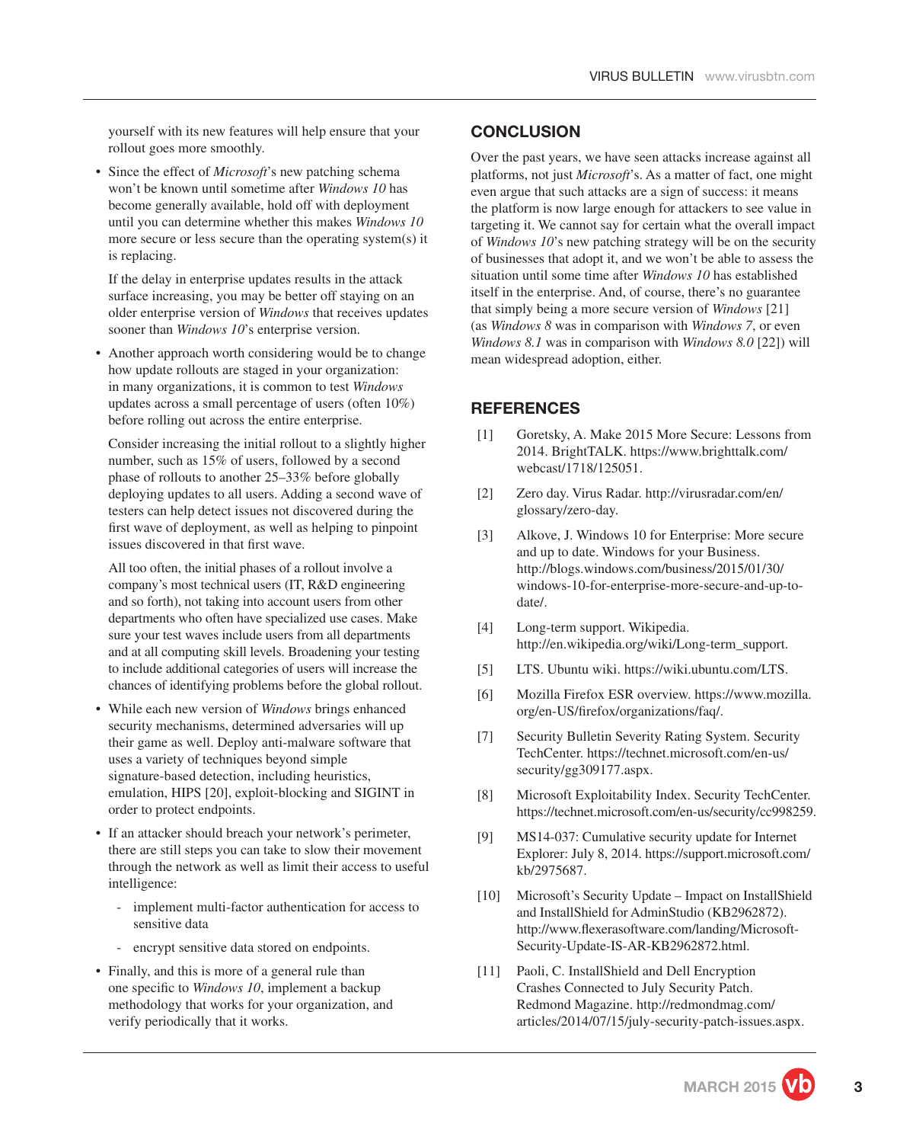yourself with its new features will help ensure that your rollout goes more smoothly.

• Since the effect of *Microsoft*'s new patching schema won't be known until sometime after *Windows 10* has become generally available, hold off with deployment until you can determine whether this makes *Windows 10* more secure or less secure than the operating system(s) it is replacing.

 If the delay in enterprise updates results in the attack surface increasing, you may be better off staying on an older enterprise version of *Windows* that receives updates sooner than *Windows 10*'s enterprise version.

Another approach worth considering would be to change how update rollouts are staged in your organization: in many organizations, it is common to test *Windows* updates across a small percentage of users (often 10%) before rolling out across the entire enterprise.

 Consider increasing the initial rollout to a slightly higher number, such as 15% of users, followed by a second phase of rollouts to another 25–33% before globally deploying updates to all users. Adding a second wave of testers can help detect issues not discovered during the first wave of deployment, as well as helping to pinpoint issues discovered in that first wave.

 All too often, the initial phases of a rollout involve a company's most technical users (IT, R&D engineering and so forth), not taking into account users from other departments who often have specialized use cases. Make sure your test waves include users from all departments and at all computing skill levels. Broadening your testing to include additional categories of users will increase the chances of identifying problems before the global rollout.

- While each new version of *Windows* brings enhanced security mechanisms, determined adversaries will up their game as well. Deploy anti-malware software that uses a variety of techniques beyond simple signature-based detection, including heuristics, emulation, HIPS [20], exploit-blocking and SIGINT in order to protect endpoints.
- If an attacker should breach your network's perimeter, there are still steps you can take to slow their movement through the network as well as limit their access to useful intelligence:
	- implement multi-factor authentication for access to sensitive data
	- encrypt sensitive data stored on endpoints.
- Finally, and this is more of a general rule than one specific to *Windows 10*, implement a backup methodology that works for your organization, and verify periodically that it works.

## **CONCLUSION**

Over the past years, we have seen attacks increase against all platforms, not just *Microsoft*'s. As a matter of fact, one might even argue that such attacks are a sign of success: it means the platform is now large enough for attackers to see value in targeting it. We cannot say for certain what the overall impact of *Windows 10*'s new patching strategy will be on the security of businesses that adopt it, and we won't be able to assess the situation until some time after *Windows 10* has established itself in the enterprise. And, of course, there's no guarantee that simply being a more secure version of *Windows* [21] (as *Windows 8* was in comparison with *Windows 7*, or even *Windows 8.1* was in comparison with *Windows 8.0* [22]) will mean widespread adoption, either.

### **REFERENCES**

- [1] Goretsky, A. Make 2015 More Secure: Lessons from 2014. BrightTALK. https://www.brighttalk.com/ webcast/1718/125051.
- [2] Zero day. Virus Radar. http://virusradar.com/en/ glossary/zero-day.
- [3] Alkove, J. Windows 10 for Enterprise: More secure and up to date. Windows for your Business. http://blogs.windows.com/business/2015/01/30/ windows-10-for-enterprise-more-secure-and-up-todate/.
- [4] Long-term support. Wikipedia. http://en.wikipedia.org/wiki/Long-term\_support.
- [5] LTS. Ubuntu wiki. https://wiki.ubuntu.com/LTS.
- [6] Mozilla Firefox ESR overview. https://www.mozilla. org/en-US/firefox/organizations/faq/.
- [7] Security Bulletin Severity Rating System. Security TechCenter. https://technet.microsoft.com/en-us/ security/gg309177.aspx.
- [8] Microsoft Exploitability Index. Security TechCenter. https://technet.microsoft.com/en-us/security/cc998259.
- [9] MS14-037: Cumulative security update for Internet Explorer: July 8, 2014. https://support.microsoft.com/ kb/2975687.
- [10] Microsoft's Security Update Impact on InstallShield and InstallShield for AdminStudio (KB2962872). http://www.flexerasoftware.com/landing/Microsoft-Security-Update-IS-AR-KB2962872.html.
- [11] Paoli, C. InstallShield and Dell Encryption Crashes Connected to July Security Patch. Redmond Magazine. http://redmondmag.com/ articles/2014/07/15/july-security-patch-issues.aspx.